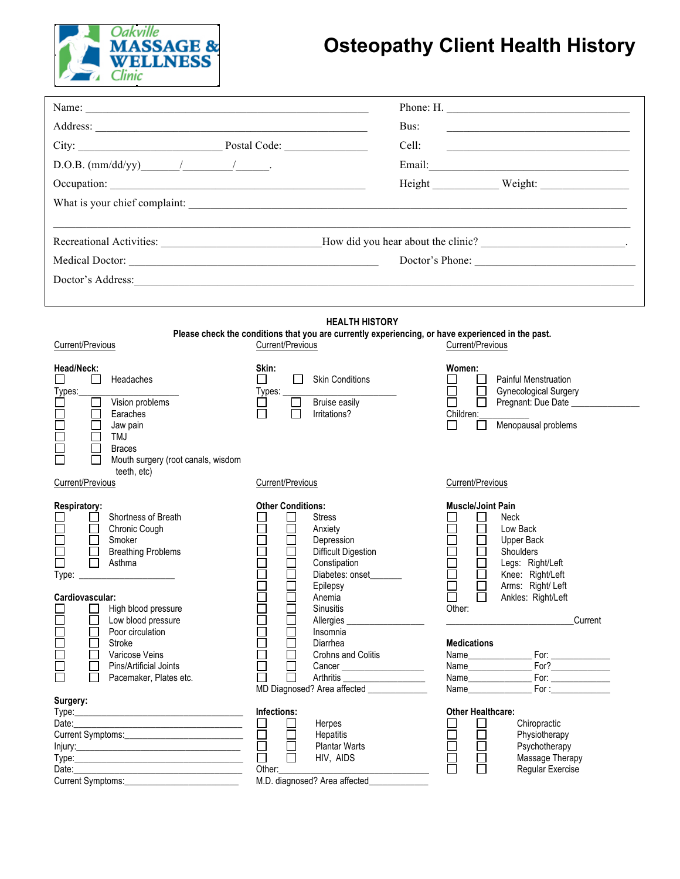

## **Osteopathy Client Health History**

|                                                                                                                            |                                                                                                                                          | Phone: H.                                                                                                                                                                |  |  |
|----------------------------------------------------------------------------------------------------------------------------|------------------------------------------------------------------------------------------------------------------------------------------|--------------------------------------------------------------------------------------------------------------------------------------------------------------------------|--|--|
|                                                                                                                            | Bus:                                                                                                                                     | the control of the control of the control of the control of the control of the control of                                                                                |  |  |
| City: Postal Code: Postal Code:                                                                                            | Cell:                                                                                                                                    | the control of the control of the control of the control of the control of the control of                                                                                |  |  |
|                                                                                                                            |                                                                                                                                          |                                                                                                                                                                          |  |  |
|                                                                                                                            |                                                                                                                                          | Height Weight:                                                                                                                                                           |  |  |
| What is your chief complaint:                                                                                              |                                                                                                                                          |                                                                                                                                                                          |  |  |
|                                                                                                                            |                                                                                                                                          |                                                                                                                                                                          |  |  |
|                                                                                                                            |                                                                                                                                          | Recreational Activities: _________________________________How did you hear about the clinic? _________________________.                                                  |  |  |
|                                                                                                                            |                                                                                                                                          | Doctor's Phone:                                                                                                                                                          |  |  |
|                                                                                                                            |                                                                                                                                          |                                                                                                                                                                          |  |  |
|                                                                                                                            |                                                                                                                                          |                                                                                                                                                                          |  |  |
|                                                                                                                            |                                                                                                                                          |                                                                                                                                                                          |  |  |
| <b>HEALTH HISTORY</b><br>Please check the conditions that you are currently experiencing, or have experienced in the past. |                                                                                                                                          |                                                                                                                                                                          |  |  |
| Current/Previous                                                                                                           | Current/Previous                                                                                                                         | Current/Previous                                                                                                                                                         |  |  |
| Head/Neck:<br>Headaches<br>$\perp$<br>Types:<br>Vision problems<br>Earaches<br>Jaw pain<br>TMJ<br><b>Braces</b>            | Skin:<br><b>Skin Conditions</b><br>Types:<br>Bruise easily<br>Irritations?                                                               | Women:<br><b>Painful Menstruation</b><br><b>Gynecological Surgery</b><br>Pregnant: Due Date _____________<br>Children:<br>Menopausal problems<br>$\perp$<br>$\mathsf{L}$ |  |  |
| Mouth surgery (root canals, wisdom<br>teeth, etc)<br>Current/Previous                                                      | Current/Previous                                                                                                                         | Current/Previous                                                                                                                                                         |  |  |
|                                                                                                                            |                                                                                                                                          |                                                                                                                                                                          |  |  |
| Respiratory:<br>Shortness of Breath<br>Chronic Cough<br>Smoker<br><b>Breathing Problems</b><br>Asthma<br>Type:             | <b>Other Conditions:</b><br><b>Stress</b><br>Anxiety<br>Depression<br>Difficult Digestion<br>Constipation<br>Diabetes: onset<br>Epilepsy | <b>Muscle/Joint Pain</b><br>Neck<br>Low Back<br>Upper Back<br>Shoulders<br>Legs: Right/Left<br>Knee: Right/Left<br>Arms: Right/Left                                      |  |  |
| Cardiovascular:                                                                                                            | Anemia                                                                                                                                   | $\Box$<br>$\Box$<br>Ankles: Right/Left                                                                                                                                   |  |  |
| High blood pressure<br>Low blood pressure                                                                                  | <b>Sinusitis</b><br>Allergies                                                                                                            | Other:<br>Current                                                                                                                                                        |  |  |
| Poor circulation<br>Stroke<br>Varicose Veins<br>Pins/Artificial Joints<br>Pacemaker, Plates etc.<br>Surgery:               | Insomnia<br>Diarrhea<br>Crohns and Colitis<br>Arthritis<br>MD Diagnosed? Area affected _______________                                   | <b>Medications</b><br>For:                                                                                                                                               |  |  |
|                                                                                                                            | Infections:                                                                                                                              | <b>Other Healthcare:</b>                                                                                                                                                 |  |  |
|                                                                                                                            | Herpes<br>⊔<br>$\Box$<br>Hepatitis                                                                                                       | $\mathsf{L}$<br>Chiropractic<br>П<br>Physiotherapy                                                                                                                       |  |  |
|                                                                                                                            | <b>Plantar Warts</b>                                                                                                                     | Psychotherapy                                                                                                                                                            |  |  |
|                                                                                                                            | HIV, AIDS<br>Other:                                                                                                                      | Massage Therapy<br>Regular Exercise                                                                                                                                      |  |  |
|                                                                                                                            | M.D. diagnosed? Area affected_                                                                                                           |                                                                                                                                                                          |  |  |